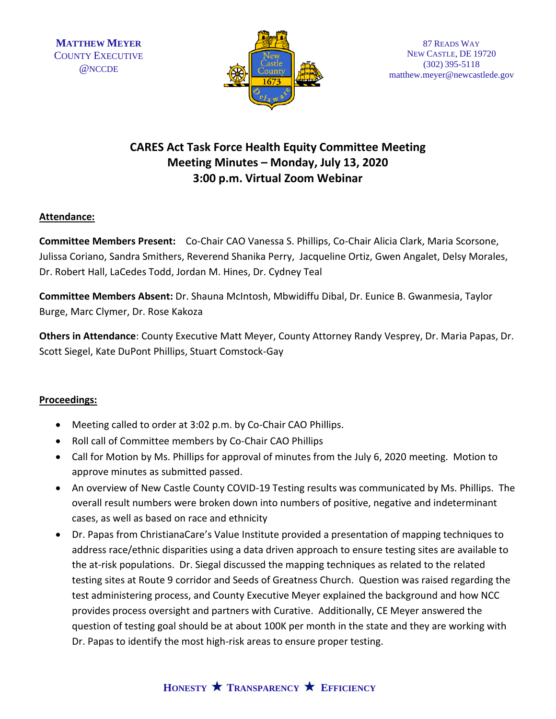

## **CARES Act Task Force Health Equity Committee Meeting Meeting Minutes – Monday, July 13, 2020 3:00 p.m. Virtual Zoom Webinar**

### **Attendance:**

**Committee Members Present:** Co-Chair CAO Vanessa S. Phillips, Co-Chair Alicia Clark, Maria Scorsone, Julissa Coriano, Sandra Smithers, Reverend Shanika Perry, Jacqueline Ortiz, Gwen Angalet, Delsy Morales, Dr. Robert Hall, LaCedes Todd, Jordan M. Hines, Dr. Cydney Teal

**Committee Members Absent:** Dr. Shauna McIntosh, Mbwidiffu Dibal, Dr. Eunice B. Gwanmesia, Taylor Burge, Marc Clymer, Dr. Rose Kakoza

**Others in Attendance**: County Executive Matt Meyer, County Attorney Randy Vesprey, Dr. Maria Papas, Dr. Scott Siegel, Kate DuPont Phillips, Stuart Comstock-Gay

#### **Proceedings:**

- Meeting called to order at 3:02 p.m. by Co-Chair CAO Phillips.
- Roll call of Committee members by Co-Chair CAO Phillips
- Call for Motion by Ms. Phillips for approval of minutes from the July 6, 2020 meeting. Motion to approve minutes as submitted passed.
- An overview of New Castle County COVID-19 Testing results was communicated by Ms. Phillips. The overall result numbers were broken down into numbers of positive, negative and indeterminant cases, as well as based on race and ethnicity
- Dr. Papas from ChristianaCare's Value Institute provided a presentation of mapping techniques to address race/ethnic disparities using a data driven approach to ensure testing sites are available to the at-risk populations. Dr. Siegal discussed the mapping techniques as related to the related testing sites at Route 9 corridor and Seeds of Greatness Church. Question was raised regarding the test administering process, and County Executive Meyer explained the background and how NCC provides process oversight and partners with Curative. Additionally, CE Meyer answered the question of testing goal should be at about 100K per month in the state and they are working with Dr. Papas to identify the most high-risk areas to ensure proper testing.